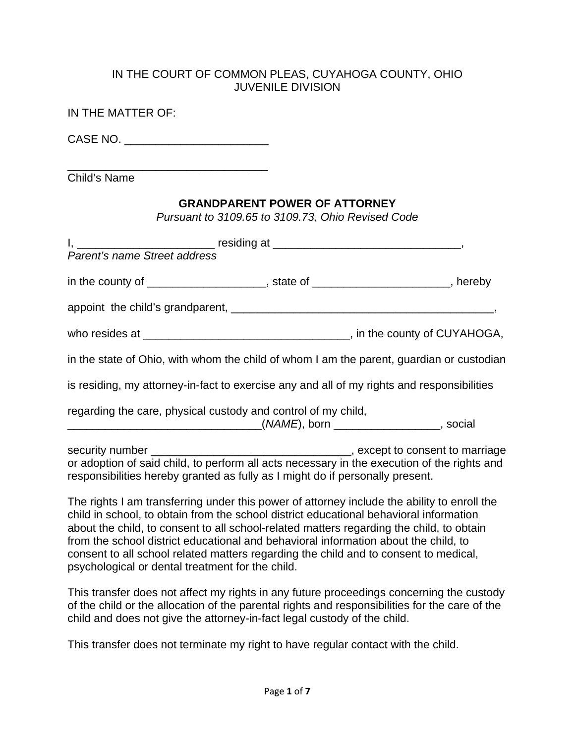#### IN THE COURT OF COMMON PLEAS, CUYAHOGA COUNTY, OHIO JUVENILE DIVISION

| IN THE MATTER OF:                                                                                                                                                            |                                                                                           |  |
|------------------------------------------------------------------------------------------------------------------------------------------------------------------------------|-------------------------------------------------------------------------------------------|--|
| CASE NO. ____________________________                                                                                                                                        |                                                                                           |  |
| Child's Name                                                                                                                                                                 |                                                                                           |  |
|                                                                                                                                                                              | <b>GRANDPARENT POWER OF ATTORNEY</b><br>Pursuant to 3109.65 to 3109.73, Ohio Revised Code |  |
|                                                                                                                                                                              |                                                                                           |  |
| in the county of ______________________, state of ______________________, hereby                                                                                             |                                                                                           |  |
|                                                                                                                                                                              |                                                                                           |  |
|                                                                                                                                                                              |                                                                                           |  |
| in the state of Ohio, with whom the child of whom I am the parent, guardian or custodian                                                                                     |                                                                                           |  |
| is residing, my attorney-in-fact to exercise any and all of my rights and responsibilities                                                                                   |                                                                                           |  |
| regarding the care, physical custody and control of my child,<br>___________________________________(NAME), born ___________________, social                                 |                                                                                           |  |
| or adoption of said child, to perform all acts necessary in the execution of the rights and<br>responsibilities hereby granted as fully as I might do if personally present. |                                                                                           |  |
| The rights I am transferring under this power of attorney include the ability to enroll the                                                                                  |                                                                                           |  |

child in school, to obtain from the school district educational behavioral information about the child, to consent to all school-related matters regarding the child, to obtain from the school district educational and behavioral information about the child, to consent to all school related matters regarding the child and to consent to medical, psychological or dental treatment for the child.

This transfer does not affect my rights in any future proceedings concerning the custody of the child or the allocation of the parental rights and responsibilities for the care of the child and does not give the attorney-in-fact legal custody of the child.

This transfer does not terminate my right to have regular contact with the child.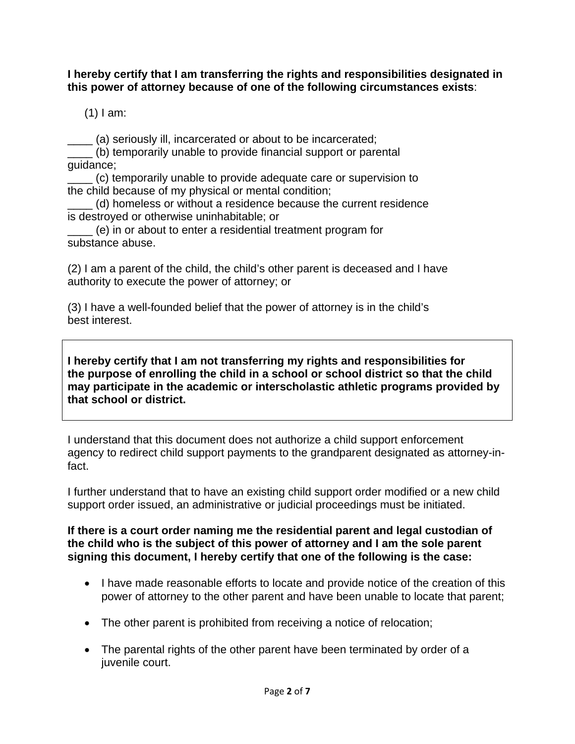#### **I hereby certify that I am transferring the rights and responsibilities designated in this power of attorney because of one of the following circumstances exists**:

 $(1)$  I am:

\_\_\_\_ (a) seriously ill, incarcerated or about to be incarcerated; (b) temporarily unable to provide financial support or parental guidance;

\_\_\_\_ (c) temporarily unable to provide adequate care or supervision to the child because of my physical or mental condition;

\_\_\_\_ (d) homeless or without a residence because the current residence is destroyed or otherwise uninhabitable; or

\_\_\_\_ (e) in or about to enter a residential treatment program for substance abuse.

(2) I am a parent of the child, the child's other parent is deceased and I have authority to execute the power of attorney; or

(3) I have a well-founded belief that the power of attorney is in the child's best interest.

**I hereby certify that I am not transferring my rights and responsibilities for the purpose of enrolling the child in a school or school district so that the child may participate in the academic or interscholastic athletic programs provided by that school or district.** 

I understand that this document does not authorize a child support enforcement agency to redirect child support payments to the grandparent designated as attorney-infact.

I further understand that to have an existing child support order modified or a new child support order issued, an administrative or judicial proceedings must be initiated.

#### **If there is a court order naming me the residential parent and legal custodian of the child who is the subject of this power of attorney and I am the sole parent signing this document, I hereby certify that one of the following is the case:**

- I have made reasonable efforts to locate and provide notice of the creation of this power of attorney to the other parent and have been unable to locate that parent;
- The other parent is prohibited from receiving a notice of relocation;
- The parental rights of the other parent have been terminated by order of a juvenile court.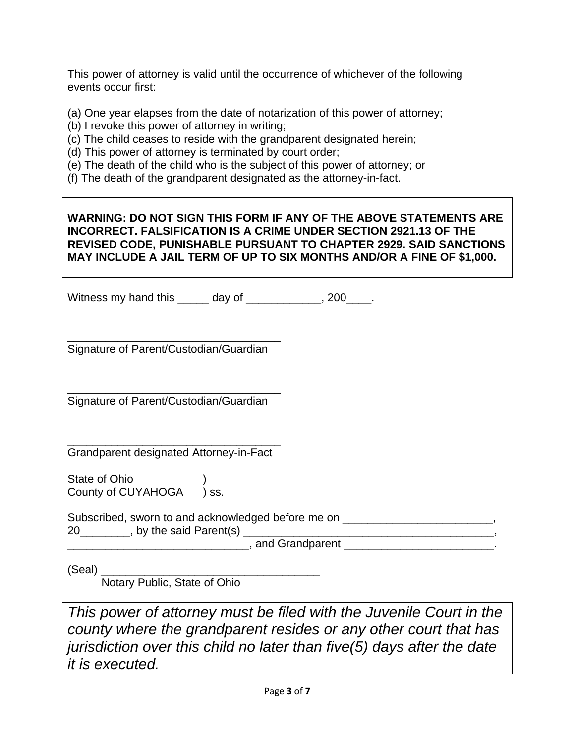This power of attorney is valid until the occurrence of whichever of the following events occur first:

(a) One year elapses from the date of notarization of this power of attorney;

- (b) I revoke this power of attorney in writing;
- (c) The child ceases to reside with the grandparent designated herein;
- (d) This power of attorney is terminated by court order;
- (e) The death of the child who is the subject of this power of attorney; or

(f) The death of the grandparent designated as the attorney-in-fact.

### **WARNING: DO NOT SIGN THIS FORM IF ANY OF THE ABOVE STATEMENTS ARE INCORRECT. FALSIFICATION IS A CRIME UNDER SECTION 2921.13 OF THE REVISED CODE, PUNISHABLE PURSUANT TO CHAPTER 2929. SAID SANCTIONS MAY INCLUDE A JAIL TERM OF UP TO SIX MONTHS AND/OR A FINE OF \$1,000.**

Witness my hand this \_\_\_\_\_ day of \_\_\_\_\_\_\_\_\_\_\_, 200\_\_\_\_.

\_\_\_\_\_\_\_\_\_\_\_\_\_\_\_\_\_\_\_\_\_\_\_\_\_\_\_\_\_\_\_\_\_\_ Signature of Parent/Custodian/Guardian

\_\_\_\_\_\_\_\_\_\_\_\_\_\_\_\_\_\_\_\_\_\_\_\_\_\_\_\_\_\_\_\_\_\_ Signature of Parent/Custodian/Guardian

\_\_\_\_\_\_\_\_\_\_\_\_\_\_\_\_\_\_\_\_\_\_\_\_\_\_\_\_\_\_\_\_\_\_ Grandparent designated Attorney-in-Fact

State of Ohio **Internal** County of CUYAHOGA ) ss.

Subscribed, sworn to and acknowledged before me on 20\_\_\_\_\_\_\_\_, by the said Parent(s) \_\_\_\_\_\_\_\_\_\_\_\_\_\_\_\_\_\_\_\_\_\_\_\_\_\_\_\_\_\_\_\_\_\_\_\_\_\_\_\_, \_\_\_\_\_\_\_\_\_\_\_\_\_\_\_\_\_\_\_\_\_\_\_\_\_\_\_\_\_, and Grandparent \_\_\_\_\_\_\_\_\_\_\_\_\_\_\_\_\_\_\_\_\_\_\_\_.

(Seal) \_\_\_\_\_\_\_\_\_\_\_\_\_\_\_\_\_\_\_\_\_\_\_\_\_\_\_\_\_\_\_\_\_\_\_

Notary Public, State of Ohio

*This power of attorney must be filed with the Juvenile Court in the county where the grandparent resides or any other court that has jurisdiction over this child no later than five(5) days after the date it is executed.*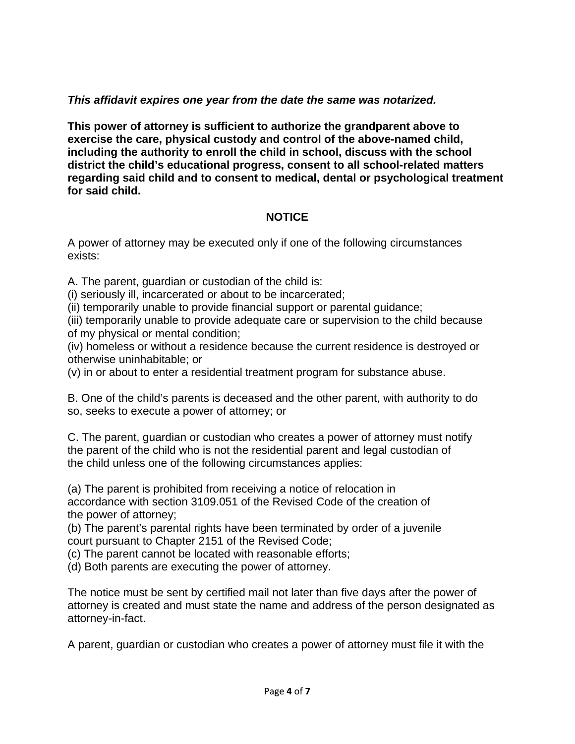# *This affidavit expires one year from the date the same was notarized.*

**This power of attorney is sufficient to authorize the grandparent above to exercise the care, physical custody and control of the above-named child, including the authority to enroll the child in school, discuss with the school district the child's educational progress, consent to all school-related matters regarding said child and to consent to medical, dental or psychological treatment for said child.** 

# **NOTICE**

A power of attorney may be executed only if one of the following circumstances exists:

A. The parent, guardian or custodian of the child is:

(i) seriously ill, incarcerated or about to be incarcerated;

(ii) temporarily unable to provide financial support or parental guidance;

(iii) temporarily unable to provide adequate care or supervision to the child because of my physical or mental condition;

(iv) homeless or without a residence because the current residence is destroyed or otherwise uninhabitable; or

(v) in or about to enter a residential treatment program for substance abuse.

B. One of the child's parents is deceased and the other parent, with authority to do so, seeks to execute a power of attorney; or

C. The parent, guardian or custodian who creates a power of attorney must notify the parent of the child who is not the residential parent and legal custodian of the child unless one of the following circumstances applies:

(a) The parent is prohibited from receiving a notice of relocation in accordance with section 3109.051 of the Revised Code of the creation of the power of attorney;

(b) The parent's parental rights have been terminated by order of a juvenile court pursuant to Chapter 2151 of the Revised Code;

(c) The parent cannot be located with reasonable efforts;

(d) Both parents are executing the power of attorney.

The notice must be sent by certified mail not later than five days after the power of attorney is created and must state the name and address of the person designated as attorney-in-fact.

A parent, guardian or custodian who creates a power of attorney must file it with the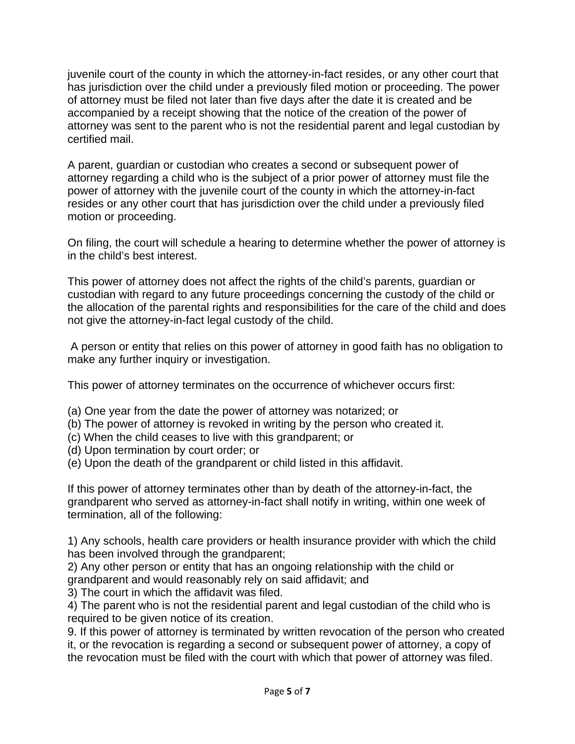juvenile court of the county in which the attorney-in-fact resides, or any other court that has jurisdiction over the child under a previously filed motion or proceeding. The power of attorney must be filed not later than five days after the date it is created and be accompanied by a receipt showing that the notice of the creation of the power of attorney was sent to the parent who is not the residential parent and legal custodian by certified mail.

A parent, guardian or custodian who creates a second or subsequent power of attorney regarding a child who is the subject of a prior power of attorney must file the power of attorney with the juvenile court of the county in which the attorney-in-fact resides or any other court that has jurisdiction over the child under a previously filed motion or proceeding.

On filing, the court will schedule a hearing to determine whether the power of attorney is in the child's best interest.

This power of attorney does not affect the rights of the child's parents, guardian or custodian with regard to any future proceedings concerning the custody of the child or the allocation of the parental rights and responsibilities for the care of the child and does not give the attorney-in-fact legal custody of the child.

 A person or entity that relies on this power of attorney in good faith has no obligation to make any further inquiry or investigation.

This power of attorney terminates on the occurrence of whichever occurs first:

- (a) One year from the date the power of attorney was notarized; or
- (b) The power of attorney is revoked in writing by the person who created it.
- (c) When the child ceases to live with this grandparent; or
- (d) Upon termination by court order; or
- (e) Upon the death of the grandparent or child listed in this affidavit.

If this power of attorney terminates other than by death of the attorney-in-fact, the grandparent who served as attorney-in-fact shall notify in writing, within one week of termination, all of the following:

1) Any schools, health care providers or health insurance provider with which the child has been involved through the grandparent;

2) Any other person or entity that has an ongoing relationship with the child or grandparent and would reasonably rely on said affidavit; and

3) The court in which the affidavit was filed.

4) The parent who is not the residential parent and legal custodian of the child who is required to be given notice of its creation.

9. If this power of attorney is terminated by written revocation of the person who created it, or the revocation is regarding a second or subsequent power of attorney, a copy of the revocation must be filed with the court with which that power of attorney was filed.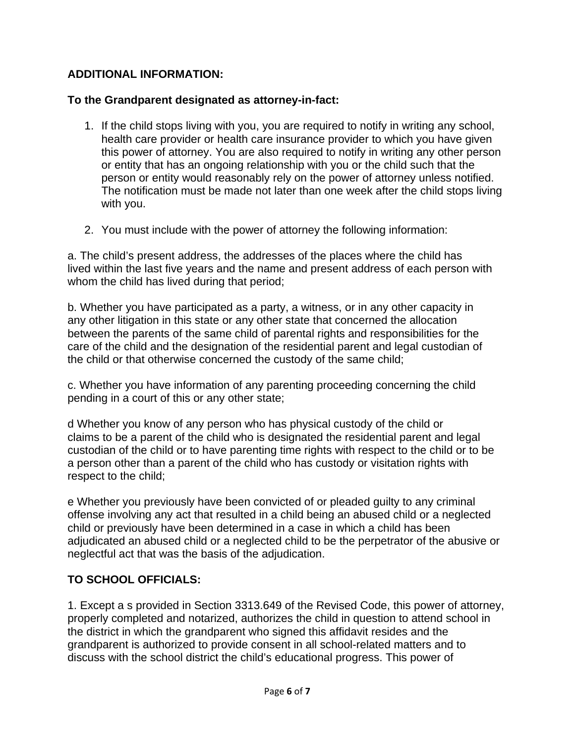# **ADDITIONAL INFORMATION:**

### **To the Grandparent designated as attorney-in-fact:**

- 1. If the child stops living with you, you are required to notify in writing any school, health care provider or health care insurance provider to which you have given this power of attorney. You are also required to notify in writing any other person or entity that has an ongoing relationship with you or the child such that the person or entity would reasonably rely on the power of attorney unless notified. The notification must be made not later than one week after the child stops living with you.
- 2. You must include with the power of attorney the following information:

a. The child's present address, the addresses of the places where the child has lived within the last five years and the name and present address of each person with whom the child has lived during that period;

b. Whether you have participated as a party, a witness, or in any other capacity in any other litigation in this state or any other state that concerned the allocation between the parents of the same child of parental rights and responsibilities for the care of the child and the designation of the residential parent and legal custodian of the child or that otherwise concerned the custody of the same child;

c. Whether you have information of any parenting proceeding concerning the child pending in a court of this or any other state;

d Whether you know of any person who has physical custody of the child or claims to be a parent of the child who is designated the residential parent and legal custodian of the child or to have parenting time rights with respect to the child or to be a person other than a parent of the child who has custody or visitation rights with respect to the child;

e Whether you previously have been convicted of or pleaded guilty to any criminal offense involving any act that resulted in a child being an abused child or a neglected child or previously have been determined in a case in which a child has been adjudicated an abused child or a neglected child to be the perpetrator of the abusive or neglectful act that was the basis of the adjudication.

### **TO SCHOOL OFFICIALS:**

1. Except a s provided in Section 3313.649 of the Revised Code, this power of attorney, properly completed and notarized, authorizes the child in question to attend school in the district in which the grandparent who signed this affidavit resides and the grandparent is authorized to provide consent in all school-related matters and to discuss with the school district the child's educational progress. This power of